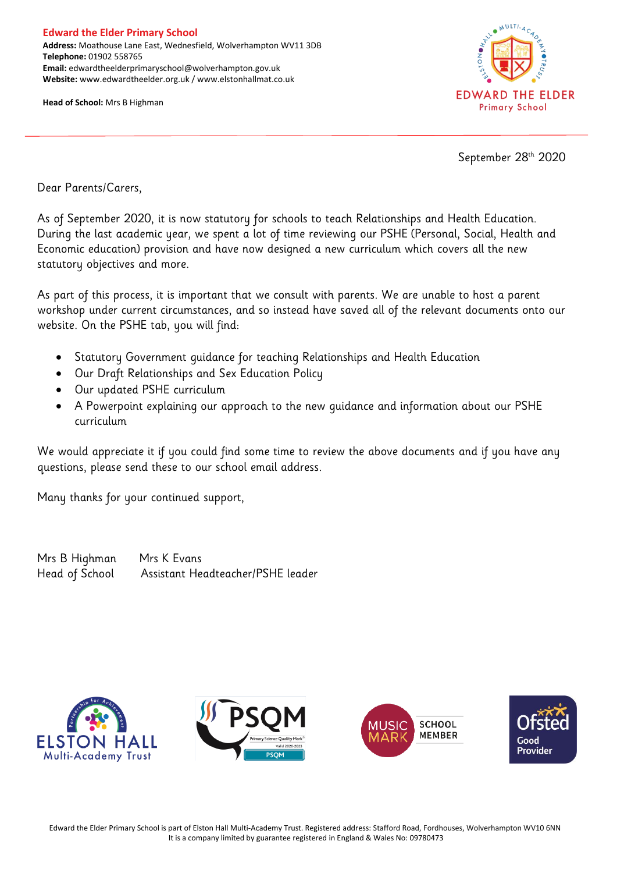**Head of School:** Mrs B Highman



September 28th 2020

Dear Parents/Carers,

As of September 2020, it is now statutory for schools to teach Relationships and Health Education. During the last academic year, we spent a lot of time reviewing our PSHE (Personal, Social, Health and Economic education) provision and have now designed a new curriculum which covers all the new statutory objectives and more.

As part of this process, it is important that we consult with parents. We are unable to host a parent workshop under current circumstances, and so instead have saved all of the relevant documents onto our website. On the PSHE tab, you will find:

- Statutory Government guidance for teaching Relationships and Health Education
- Our Draft Relationships and Sex Education Policy
- Our updated PSHE curriculum
- A Powerpoint explaining our approach to the new guidance and information about our PSHE curriculum

We would appreciate it if you could find some time to review the above documents and if you have any questions, please send these to our school email address.

Many thanks for your continued support,

Mrs B Highman Mrs K Evans Head of School Assistant Headteacher/PSHE leader